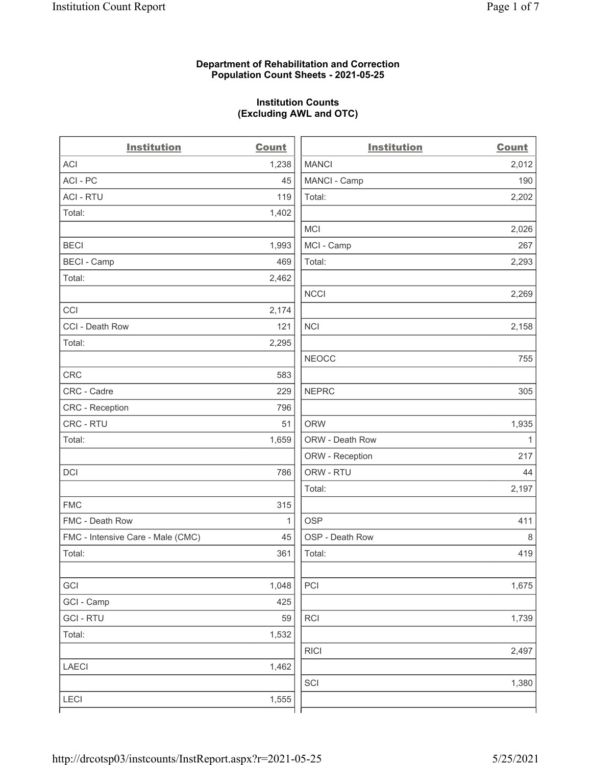### Department of Rehabilitation and Correction Population Count Sheets - 2021-05-25

## Institution Counts (Excluding AWL and OTC)

. .

| <b>Institution</b>                | <b>Count</b> | <b>Institution</b> | <b>Count</b> |
|-----------------------------------|--------------|--------------------|--------------|
| ACI                               | 1,238        | <b>MANCI</b>       | 2,012        |
| ACI-PC                            | 45           | MANCI - Camp       | 190          |
| <b>ACI - RTU</b>                  | 119          | Total:             | 2,202        |
| Total:                            | 1,402        |                    |              |
|                                   |              | MCI                | 2,026        |
| <b>BECI</b>                       | 1,993        | MCI - Camp         | 267          |
| <b>BECI - Camp</b>                | 469          | Total:             | 2,293        |
| Total:                            | 2,462        |                    |              |
|                                   |              | <b>NCCI</b>        | 2,269        |
| CCI                               | 2,174        |                    |              |
| CCI - Death Row                   | 121          | <b>NCI</b>         | 2,158        |
| Total:                            | 2,295        |                    |              |
|                                   |              | <b>NEOCC</b>       | 755          |
| <b>CRC</b>                        | 583          |                    |              |
| CRC - Cadre                       | 229          | <b>NEPRC</b>       | 305          |
| CRC - Reception                   | 796          |                    |              |
| CRC - RTU                         | 51           | <b>ORW</b>         | 1,935        |
| Total:                            | 1,659        | ORW - Death Row    | $\mathbf{1}$ |
|                                   |              | ORW - Reception    | 217          |
| DCI                               | 786          | ORW - RTU          | 44           |
|                                   |              | Total:             | 2,197        |
| <b>FMC</b>                        | 315          |                    |              |
| FMC - Death Row                   | 1            | <b>OSP</b>         | 411          |
| FMC - Intensive Care - Male (CMC) | 45           | OSP - Death Row    | 8            |
| Total:                            | 361          | Total:             | 419          |
|                                   |              |                    |              |
| GCI                               | 1,048        | PCI                | 1,675        |
| GCI - Camp                        | 425          |                    |              |
| <b>GCI-RTU</b>                    | 59           | <b>RCI</b>         | 1,739        |
| Total:                            | 1,532        |                    |              |
|                                   |              | <b>RICI</b>        | 2,497        |
| <b>LAECI</b>                      | 1,462        |                    |              |
|                                   |              | SCI                | 1,380        |
| <b>LECI</b>                       | 1,555        |                    |              |
|                                   |              |                    |              |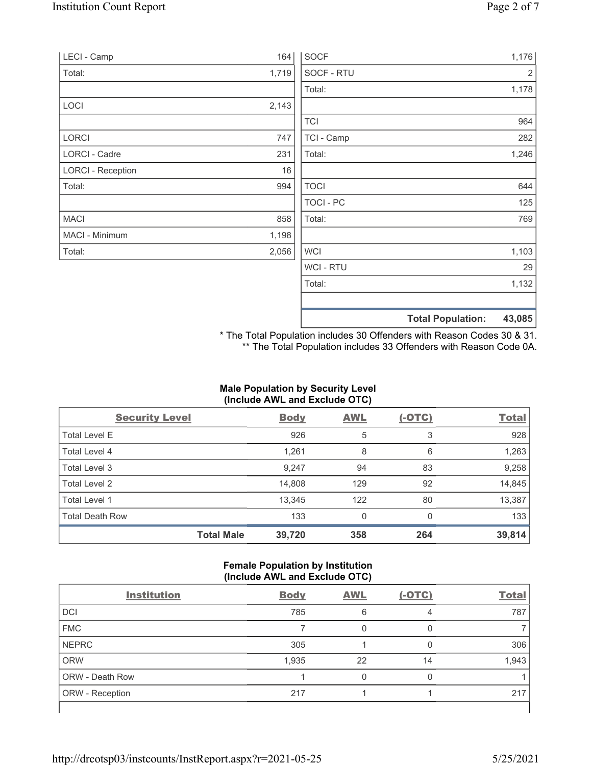| LECI - Camp              | 164   | <b>SOCF</b>    | 1,176                              |
|--------------------------|-------|----------------|------------------------------------|
| Total:                   | 1,719 | SOCF - RTU     | $\overline{2}$                     |
|                          |       | Total:         | 1,178                              |
| LOCI                     | 2,143 |                |                                    |
|                          |       | <b>TCI</b>     | 964                                |
| LORCI                    | 747   | TCI - Camp     | 282                                |
| LORCI - Cadre            | 231   | Total:         | 1,246                              |
| <b>LORCI - Reception</b> | 16    |                |                                    |
| Total:                   | 994   | <b>TOCI</b>    | 644                                |
|                          |       | TOCI - PC      | 125                                |
| <b>MACI</b>              | 858   | Total:         | 769                                |
| MACI - Minimum           | 1,198 |                |                                    |
| Total:                   | 2,056 | <b>WCI</b>     | 1,103                              |
|                          |       | <b>WCI-RTU</b> | 29                                 |
|                          |       | Total:         | 1,132                              |
|                          |       |                | 43,085<br><b>Total Population:</b> |

\* The Total Population includes 30 Offenders with Reason Codes 30 & 31. \*\* The Total Population includes 33 Offenders with Reason Code 0A.

# Male Population by Security Level (Include AWL and Exclude OTC)

| <b>Security Level</b>  |                   | <b>Body</b> | <b>AWL</b> | $(-OTC)$ | <b>Total</b> |
|------------------------|-------------------|-------------|------------|----------|--------------|
| <b>Total Level E</b>   |                   | 926         | 5          | 3        | 928          |
| Total Level 4          |                   | 1,261       | 8          | 6        | 1,263        |
| Total Level 3          |                   | 9,247       | 94         | 83       | 9,258        |
| Total Level 2          |                   | 14,808      | 129        | 92       | 14,845       |
| Total Level 1          |                   | 13,345      | 122        | 80       | 13,387       |
| <b>Total Death Row</b> |                   | 133         | 0          | $\Omega$ | 133          |
|                        | <b>Total Male</b> | 39,720      | 358        | 264      | 39,814       |

## Female Population by Institution (Include AWL and Exclude OTC)

| <b>Body</b> | <b>AWL</b> | $(-OTC)$ | <b>Total</b> |
|-------------|------------|----------|--------------|
| 785         | 6          | 4        | 787          |
|             |            |          |              |
| 305         |            |          | 306          |
| 1,935       | 22         | 14       | 1,943        |
|             |            |          |              |
| 217         |            |          | 217          |
|             |            |          |              |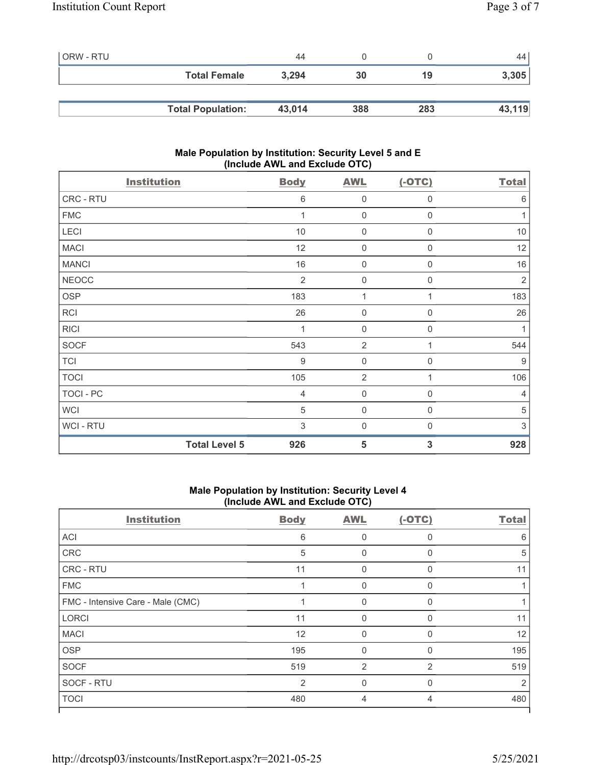| <b>ORW - RTU</b> |                          | 44     |     |     | 44     |
|------------------|--------------------------|--------|-----|-----|--------|
|                  | <b>Total Female</b>      | 3,294  | 30  | 19  | 3,305  |
|                  |                          |        |     |     |        |
|                  | <b>Total Population:</b> | 43,014 | 388 | 283 | 43,119 |

## Male Population by Institution: Security Level 5 and E (Include AWL and Exclude OTC)

| <b>Institution</b>   | <b>Body</b>    | <b>AWL</b>          | $(-OTC)$         | <b>Total</b>   |
|----------------------|----------------|---------------------|------------------|----------------|
| CRC - RTU            | 6              | $\boldsymbol{0}$    | 0                | 6              |
| <b>FMC</b>           | 1              | $\mathsf{O}\xspace$ | 0                | $\mathbf{1}$   |
| LECI                 | 10             | $\boldsymbol{0}$    | 0                | $10$           |
| <b>MACI</b>          | 12             | $\boldsymbol{0}$    | $\boldsymbol{0}$ | 12             |
| <b>MANCI</b>         | 16             | $\boldsymbol{0}$    | $\mathbf 0$      | 16             |
| <b>NEOCC</b>         | $\overline{2}$ | $\mathbf 0$         | 0                | $\overline{2}$ |
| <b>OSP</b>           | 183            | 1                   | 1                | 183            |
| RCI                  | 26             | $\mathbf 0$         | 0                | 26             |
| <b>RICI</b>          | 1              | $\boldsymbol{0}$    | $\mathbf 0$      | 1              |
| SOCF                 | 543            | $\overline{2}$      | 1                | 544            |
| <b>TCI</b>           | $9\,$          | $\boldsymbol{0}$    | $\mathbf 0$      | $9$            |
| <b>TOCI</b>          | 105            | $\overline{2}$      | 1                | 106            |
| <b>TOCI - PC</b>     | $\overline{4}$ | $\mathbf 0$         | 0                | 4              |
| <b>WCI</b>           | $\sqrt{5}$     | $\boldsymbol{0}$    | 0                | $\sqrt{5}$     |
| WCI - RTU            | 3              | $\boldsymbol{0}$    | 0                | 3              |
| <b>Total Level 5</b> | 926            | 5                   | 3                | 928            |

## Male Population by Institution: Security Level 4 (Include AWL and Exclude OTC)

| <b>Institution</b>                | <b>Body</b>    | <b>AWL</b>     | $(-OTC)$       | <b>Total</b> |
|-----------------------------------|----------------|----------------|----------------|--------------|
| <b>ACI</b>                        | 6              | 0              | $\Omega$       | 6            |
| CRC                               | 5              | 0              | $\Omega$       | 5            |
| <b>CRC - RTU</b>                  | 11             | 0              | $\Omega$       | 11           |
| <b>FMC</b>                        |                | 0              | $\Omega$       |              |
| FMC - Intensive Care - Male (CMC) |                | 0              | $\Omega$       |              |
| <b>LORCI</b>                      | 11             | $\Omega$       | $\mathbf{0}$   | 11           |
| <b>MACI</b>                       | 12             | $\mathbf 0$    | $\Omega$       | 12           |
| <b>OSP</b>                        | 195            | $\Omega$       | $\Omega$       | 195          |
| <b>SOCF</b>                       | 519            | $\overline{2}$ | $\overline{2}$ | 519          |
| SOCF - RTU                        | $\overline{2}$ | $\Omega$       | $\Omega$       | 2            |
| <b>TOCI</b>                       | 480            | $\overline{4}$ | 4              | 480          |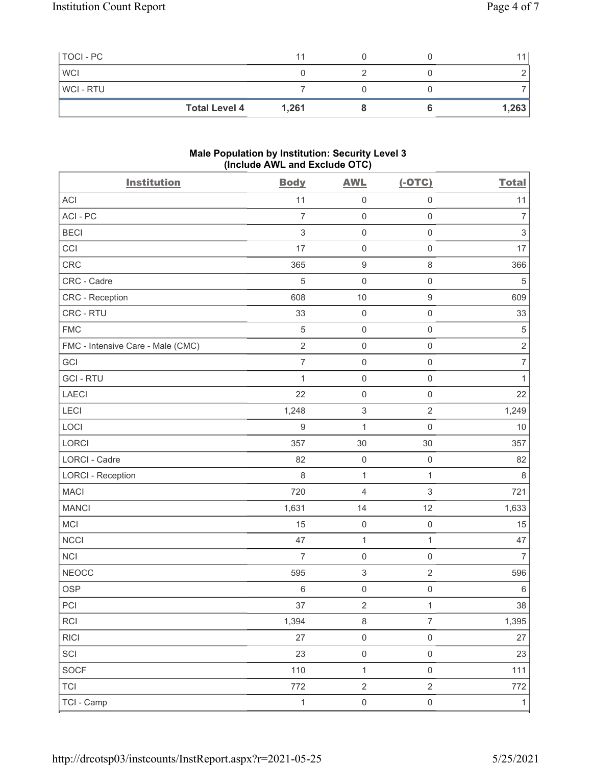| TOCI - PC  |                      | 11    |  |       |
|------------|----------------------|-------|--|-------|
| <b>WCI</b> |                      |       |  |       |
| WCI - RTU  |                      |       |  |       |
|            | <b>Total Level 4</b> | 1,261 |  | 1,263 |

#### Male Population by Institution: Security Level 3 (Include AWL and Exclude OTC)

| <b>Institution</b>                | <b>Body</b>               | <b>AWL</b>                | $(-OTC)$                  | <b>Total</b>              |
|-----------------------------------|---------------------------|---------------------------|---------------------------|---------------------------|
| <b>ACI</b>                        | 11                        | $\mathsf{O}\xspace$       | $\mathsf 0$               | 11                        |
| ACI-PC                            | $\overline{7}$            | $\mathsf 0$               | $\mathsf 0$               | $\overline{7}$            |
| <b>BECI</b>                       | $\ensuremath{\mathsf{3}}$ | $\mathsf 0$               | $\mathsf 0$               | $\ensuremath{\mathsf{3}}$ |
| CCI                               | 17                        | $\mathsf{O}\xspace$       | $\mathsf 0$               | 17                        |
| <b>CRC</b>                        | 365                       | $\boldsymbol{9}$          | $\,8\,$                   | 366                       |
| CRC - Cadre                       | 5                         | $\mathbf 0$               | $\mathsf 0$               | $\sqrt{5}$                |
| CRC - Reception                   | 608                       | $10$                      | $\boldsymbol{9}$          | 609                       |
| CRC - RTU                         | 33                        | $\mathsf 0$               | $\mathsf 0$               | 33                        |
| <b>FMC</b>                        | $\,$ 5 $\,$               | $\mathbf 0$               | $\mathsf 0$               | $\,$ 5 $\,$               |
| FMC - Intensive Care - Male (CMC) | $\sqrt{2}$                | $\mathbf 0$               | $\mathsf{O}\xspace$       | $\sqrt{2}$                |
| GCI                               | $\overline{7}$            | $\mathsf 0$               | $\mathsf 0$               | $\overline{7}$            |
| <b>GCI-RTU</b>                    | 1                         | $\mathsf{O}\xspace$       | $\mathsf 0$               | $\mathbf{1}$              |
| LAECI                             | 22                        | $\mathsf 0$               | $\mathsf 0$               | 22                        |
| LECI                              | 1,248                     | $\,$ 3 $\,$               | $\sqrt{2}$                | 1,249                     |
| LOCI                              | $\boldsymbol{9}$          | $\mathbf{1}$              | $\mathsf 0$               | $10$                      |
| LORCI                             | 357                       | 30                        | 30                        | 357                       |
| LORCI - Cadre                     | 82                        | $\mathbf 0$               | $\mathsf 0$               | 82                        |
| <b>LORCI - Reception</b>          | $\,8\,$                   | $\mathbf{1}$              | $\mathbf{1}$              | $\,8\,$                   |
| <b>MACI</b>                       | 720                       | $\overline{4}$            | $\ensuremath{\mathsf{3}}$ | 721                       |
| <b>MANCI</b>                      | 1,631                     | 14                        | 12                        | 1,633                     |
| MCI                               | 15                        | $\mathsf 0$               | $\mathsf 0$               | 15                        |
| <b>NCCI</b>                       | 47                        | $\mathbf{1}$              | $\mathbf{1}$              | 47                        |
| NCI                               | $\overline{7}$            | $\mathsf 0$               | $\mathsf{O}\xspace$       | $\overline{7}$            |
| <b>NEOCC</b>                      | 595                       | $\ensuremath{\mathsf{3}}$ | $\sqrt{2}$                | 596                       |
| <b>OSP</b>                        | $6\,$                     | $\mathsf{O}\xspace$       | $\mathsf 0$               | $\,6\,$                   |
| PCI                               | $37\,$                    | $\sqrt{2}$                | $\mathbf{1}$              | $38\,$                    |
| <b>RCI</b>                        | 1,394                     | $\,8\,$                   | $\overline{7}$            | 1,395                     |
| RICI                              | 27                        | $\mathsf 0$               | $\mathsf 0$               | $27\,$                    |
| SCI                               | 23                        | $\mathsf 0$               | $\mathsf{O}\xspace$       | 23                        |
| SOCF                              | 110                       | $\mathbf{1}$              | $\mathsf{O}\xspace$       | 111                       |
| <b>TCI</b>                        | 772                       | $\sqrt{2}$                | $\overline{2}$            | 772                       |
| TCI - Camp                        | $\mathbf{1}$              | $\mathbf 0$               | $\mathsf{O}\xspace$       | $\mathbf{1}$              |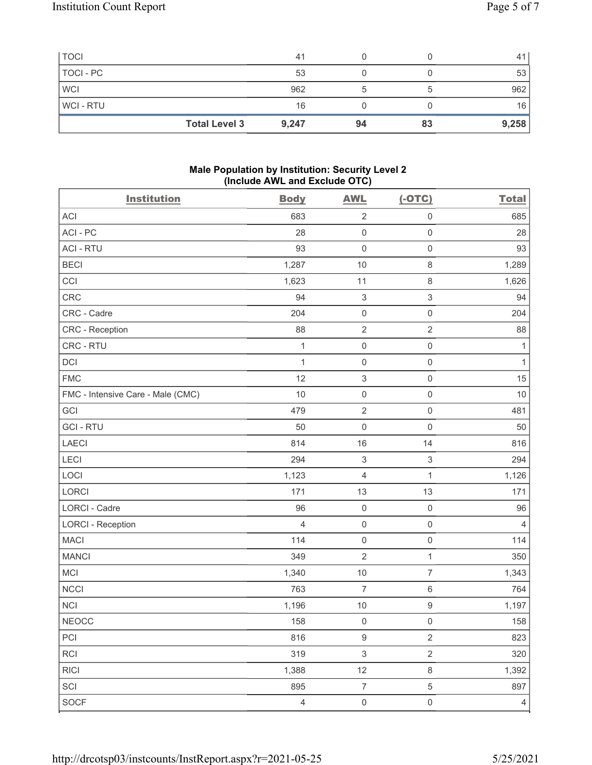|             | <b>Total Level 3</b> | 9,247 | 94 | 83 | 9,258 |
|-------------|----------------------|-------|----|----|-------|
| WCI - RTU   |                      | 16    |    |    | 16    |
| <b>WCI</b>  |                      | 962   |    |    | 962   |
| TOCI - PC   |                      | 53    |    |    | 53    |
| <b>TOCI</b> |                      | 41    |    |    | 41    |

## Male Population by Institution: Security Level 2 (Include AWL and Exclude OTC)

| <b>Institution</b>                | <b>Body</b>    | <b>AWL</b>                | $(-OTC)$                  | <b>Total</b>   |
|-----------------------------------|----------------|---------------------------|---------------------------|----------------|
| <b>ACI</b>                        | 683            | $\sqrt{2}$                | $\mathsf 0$               | 685            |
| ACI-PC                            | 28             | $\mathsf{O}\xspace$       | $\mathsf 0$               | 28             |
| <b>ACI - RTU</b>                  | 93             | $\mathsf 0$               | $\mathsf 0$               | 93             |
| <b>BECI</b>                       | 1,287          | $10$                      | $\,8\,$                   | 1,289          |
| CCI                               | 1,623          | 11                        | 8                         | 1,626          |
| CRC                               | 94             | $\ensuremath{\mathsf{3}}$ | $\ensuremath{\mathsf{3}}$ | 94             |
| CRC - Cadre                       | 204            | $\mathsf 0$               | $\mathsf 0$               | 204            |
| <b>CRC</b> - Reception            | 88             | $\sqrt{2}$                | $\sqrt{2}$                | 88             |
| CRC - RTU                         | 1              | $\mathsf 0$               | $\mathsf 0$               | 1              |
| DCI                               | 1              | $\mathsf 0$               | $\mathsf 0$               | $\mathbf{1}$   |
| <b>FMC</b>                        | 12             | $\ensuremath{\mathsf{3}}$ | $\mathsf 0$               | 15             |
| FMC - Intensive Care - Male (CMC) | 10             | $\mathsf 0$               | $\mathsf{O}\xspace$       | 10             |
| GCI                               | 479            | $\overline{2}$            | $\mathsf 0$               | 481            |
| <b>GCI-RTU</b>                    | 50             | $\mathbf 0$               | $\mathsf{O}\xspace$       | 50             |
| LAECI                             | 814            | 16                        | 14                        | 816            |
| LECI                              | 294            | $\ensuremath{\mathsf{3}}$ | $\ensuremath{\mathsf{3}}$ | 294            |
| LOCI                              | 1,123          | $\overline{4}$            | $\mathbf{1}$              | 1,126          |
| LORCI                             | 171            | 13                        | 13                        | 171            |
| <b>LORCI - Cadre</b>              | 96             | $\mathsf{O}\xspace$       | $\mathsf{O}\xspace$       | 96             |
| <b>LORCI - Reception</b>          | $\overline{4}$ | $\mathsf 0$               | $\mathsf{O}\xspace$       | $\overline{4}$ |
| <b>MACI</b>                       | 114            | $\mathsf 0$               | $\mathsf 0$               | 114            |
| <b>MANCI</b>                      | 349            | $\sqrt{2}$                | $\mathbf{1}$              | 350            |
| MCI                               | 1,340          | $10$                      | $\overline{7}$            | 1,343          |
| <b>NCCI</b>                       | 763            | $\overline{7}$            | $\,6\,$                   | 764            |
| NCI                               | 1,196          | $10$                      | $\hbox{9}$                | 1,197          |
| $NEOCC$                           | 158            | $\mathbf 0$               | $\mathsf{O}\xspace$       | 158            |
| PCI                               | 816            | $\boldsymbol{9}$          | $\overline{2}$            | 823            |
| RCI                               | 319            | $\ensuremath{\mathsf{3}}$ | $\sqrt{2}$                | 320            |
| <b>RICI</b>                       | 1,388          | 12                        | $\,8\,$                   | 1,392          |
| SCI                               | 895            | $\boldsymbol{7}$          | $\sqrt{5}$                | 897            |
| <b>SOCF</b>                       | $\overline{4}$ | $\mathsf 0$               | $\mathsf{O}\xspace$       | $\overline{4}$ |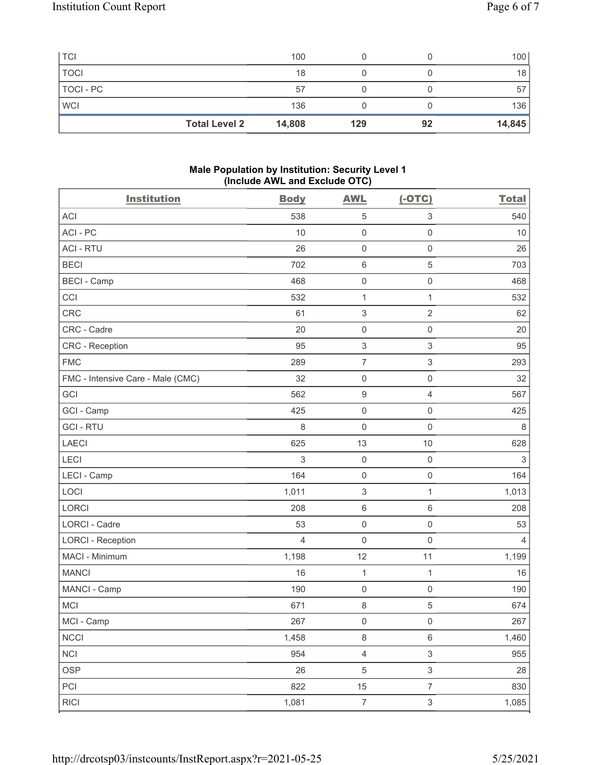| <b>TCI</b>  |                      | 100    |     |    | 100    |
|-------------|----------------------|--------|-----|----|--------|
| <b>TOCI</b> |                      | 18     |     |    | 18     |
| TOCI - PC   |                      | 57     |     |    | 57     |
| <b>WCI</b>  |                      | 136    |     |    | 136    |
|             | <b>Total Level 2</b> | 14,808 | 129 | 92 | 14,845 |

### Male Population by Institution: Security Level 1 (Include AWL and Exclude OTC)

| <b>Institution</b>                | <b>Body</b>    | <b>AWL</b>                | $(-OTC)$                  | <b>Total</b>   |
|-----------------------------------|----------------|---------------------------|---------------------------|----------------|
| <b>ACI</b>                        | 538            | $\mathbf 5$               | 3                         | 540            |
| ACI-PC                            | 10             | $\mathsf 0$               | $\mathsf 0$               | 10             |
| <b>ACI - RTU</b>                  | 26             | $\mathsf 0$               | $\mathsf 0$               | 26             |
| <b>BECI</b>                       | 702            | $\,6\,$                   | $\mathbf 5$               | 703            |
| <b>BECI - Camp</b>                | 468            | $\mathsf{O}\xspace$       | $\mathsf 0$               | 468            |
| CCI                               | 532            | $\mathbf{1}$              | $\mathbf{1}$              | 532            |
| CRC                               | 61             | $\ensuremath{\mathsf{3}}$ | $\overline{2}$            | 62             |
| CRC - Cadre                       | 20             | $\mathsf 0$               | $\mathsf 0$               | 20             |
| <b>CRC</b> - Reception            | 95             | $\ensuremath{\mathsf{3}}$ | $\ensuremath{\mathsf{3}}$ | 95             |
| <b>FMC</b>                        | 289            | $\overline{7}$            | $\sqrt{3}$                | 293            |
| FMC - Intensive Care - Male (CMC) | 32             | $\mathsf{O}\xspace$       | $\mathsf{O}\xspace$       | 32             |
| <b>GCI</b>                        | 562            | $\boldsymbol{9}$          | $\overline{4}$            | 567            |
| GCI - Camp                        | 425            | $\mathsf 0$               | $\mathsf{O}\xspace$       | 425            |
| <b>GCI-RTU</b>                    | $\,8\,$        | $\mathsf{O}\xspace$       | $\mathsf{O}\xspace$       | $\,8\,$        |
| <b>LAECI</b>                      | 625            | 13                        | $10$                      | 628            |
| LECI                              | 3              | $\mathsf{O}\xspace$       | $\mathsf 0$               | $\mathfrak{S}$ |
| LECI - Camp                       | 164            | $\mathsf 0$               | $\mathsf{O}\xspace$       | 164            |
| LOCI                              | 1,011          | $\ensuremath{\mathsf{3}}$ | $\mathbf{1}$              | 1,013          |
| LORCI                             | 208            | $\,6\,$                   | $\,6\,$                   | 208            |
| <b>LORCI - Cadre</b>              | 53             | $\mathsf 0$               | $\mathsf{O}\xspace$       | 53             |
| <b>LORCI - Reception</b>          | $\overline{4}$ | $\mathsf 0$               | $\mathsf{O}\xspace$       | $\overline{4}$ |
| MACI - Minimum                    | 1,198          | 12                        | 11                        | 1,199          |
| <b>MANCI</b>                      | 16             | $\mathbf{1}$              | $\mathbf{1}$              | 16             |
| MANCI - Camp                      | 190            | $\mathsf{O}\xspace$       | $\mathsf{O}\xspace$       | 190            |
| MCI                               | 671            | $\,8\,$                   | 5                         | 674            |
| MCI - Camp                        | 267            | $\mathsf{O}\xspace$       | $\mathsf{O}\xspace$       | 267            |
| <b>NCCI</b>                       | 1,458          | $\,8\,$                   | $\,6\,$                   | 1,460          |
| <b>NCI</b>                        | 954            | $\overline{4}$            | $\ensuremath{\mathsf{3}}$ | 955            |
| <b>OSP</b>                        | 26             | $\,$ 5 $\,$               | $\mathfrak{S}$            | 28             |
| PCI                               | 822            | 15                        | $\overline{7}$            | 830            |
| <b>RICI</b>                       | 1,081          | $\boldsymbol{7}$          | $\mathfrak{S}$            | 1,085          |